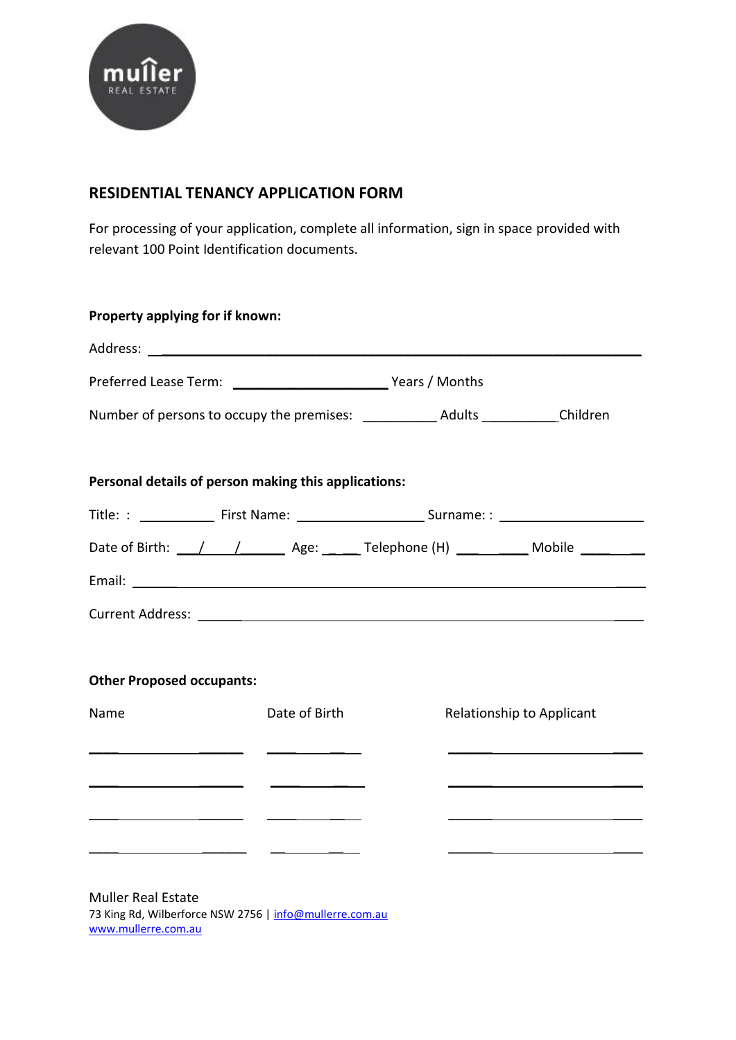

## **RESIDENTIAL TENANCY APPLICATION FORM**

For processing of your application, complete all information, sign in space provided with relevant 100 Point Identification documents.

| Preferred Lease Term: Vears / Months                                                                                 |                                                                   |                                                                                                                       |
|----------------------------------------------------------------------------------------------------------------------|-------------------------------------------------------------------|-----------------------------------------------------------------------------------------------------------------------|
|                                                                                                                      |                                                                   |                                                                                                                       |
|                                                                                                                      |                                                                   |                                                                                                                       |
|                                                                                                                      |                                                                   |                                                                                                                       |
|                                                                                                                      |                                                                   |                                                                                                                       |
|                                                                                                                      |                                                                   |                                                                                                                       |
|                                                                                                                      |                                                                   |                                                                                                                       |
|                                                                                                                      |                                                                   |                                                                                                                       |
|                                                                                                                      |                                                                   |                                                                                                                       |
|                                                                                                                      |                                                                   |                                                                                                                       |
| <b>Other Proposed occupants:</b>                                                                                     |                                                                   |                                                                                                                       |
| Date of Birth                                                                                                        |                                                                   | Relationship to Applicant                                                                                             |
|                                                                                                                      |                                                                   | <u> 1989 - Johann Harry Harry Harry Harry Harry Harry Harry Harry Harry Harry Harry Harry Harry Harry Harry Harry</u> |
|                                                                                                                      |                                                                   |                                                                                                                       |
|                                                                                                                      |                                                                   |                                                                                                                       |
|                                                                                                                      |                                                                   |                                                                                                                       |
| <u> 1989 - Johann Barn, amerikan basar personal dan berasal dan berasal dan berasal dan berasal dan berasal dan </u> |                                                                   |                                                                                                                       |
|                                                                                                                      | <u> 1989 - Andrea Stadt Britain, amerikansk politik (d. 1989)</u> | Personal details of person making this applications:                                                                  |

[www.mullerre.com.au](file:///C:/Users/Thomas/AppData/Local/Microsoft/Windows/Temporary%20Internet%20Files/Content.Outlook/PJ1Y5NFQ/www.mullerre.com.au)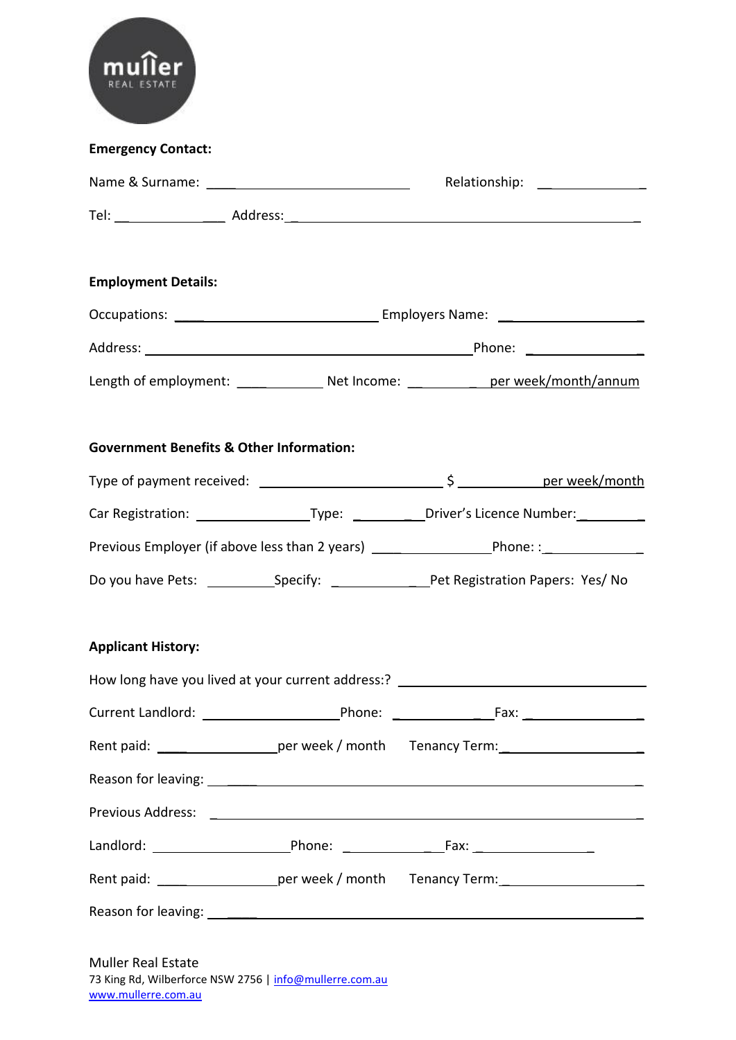| <b>Emergency Contact:</b>                           |                                                                                                     |  |
|-----------------------------------------------------|-----------------------------------------------------------------------------------------------------|--|
|                                                     |                                                                                                     |  |
|                                                     |                                                                                                     |  |
| <b>Employment Details:</b>                          |                                                                                                     |  |
|                                                     |                                                                                                     |  |
|                                                     |                                                                                                     |  |
|                                                     | Length of employment: _______________ Net Income: _____________ per week/month/annum                |  |
| <b>Government Benefits &amp; Other Information:</b> |                                                                                                     |  |
|                                                     | Car Registration: ________________________Type: ______________Driver's Licence Number: ____________ |  |
|                                                     | Previous Employer (if above less than 2 years) __________________________________                   |  |
|                                                     | Do you have Pets: _______________Specify: ________________________Pet Registration Papers: Yes/ No  |  |
| <b>Applicant History:</b>                           | How long have you lived at your current address:? ______________________________                    |  |
|                                                     |                                                                                                     |  |
|                                                     | Rent paid: _______________________per week / month Tenancy Term: _______________                    |  |
|                                                     |                                                                                                     |  |
|                                                     |                                                                                                     |  |
|                                                     |                                                                                                     |  |
|                                                     | Rent paid: ______________________per week / month Tenancy Term: ________________                    |  |
|                                                     |                                                                                                     |  |

Muller Real Estate 73 King Rd, Wilberforce NSW 2756 [| info@mullerre.com.au](mailto:info@mullerre.com.au) [www.mullerre.com.au](file:///C:/Users/Thomas/AppData/Local/Microsoft/Windows/Temporary%20Internet%20Files/Content.Outlook/PJ1Y5NFQ/www.mullerre.com.au)